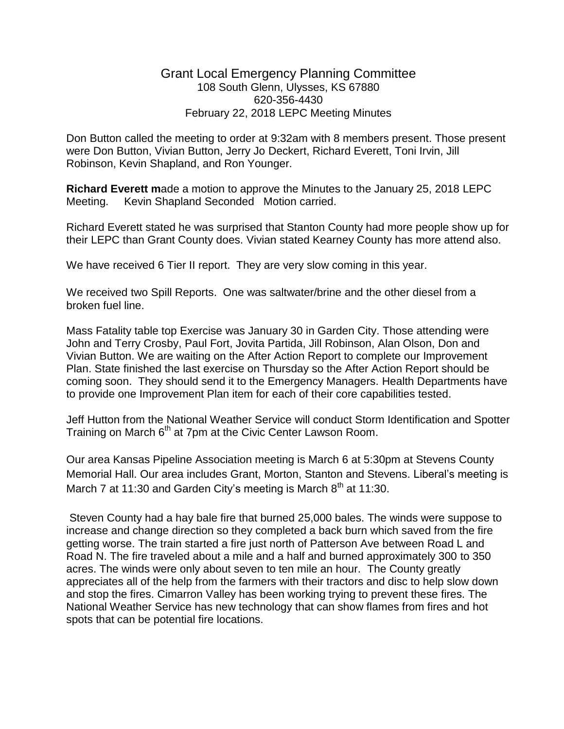## Grant Local Emergency Planning Committee 108 South Glenn, Ulysses, KS 67880 620-356-4430 February 22, 2018 LEPC Meeting Minutes

Don Button called the meeting to order at 9:32am with 8 members present. Those present were Don Button, Vivian Button, Jerry Jo Deckert, Richard Everett, Toni Irvin, Jill Robinson, Kevin Shapland, and Ron Younger.

**Richard Everett m**ade a motion to approve the Minutes to the January 25, 2018 LEPC Meeting. Kevin Shapland Seconded Motion carried.

Richard Everett stated he was surprised that Stanton County had more people show up for their LEPC than Grant County does. Vivian stated Kearney County has more attend also.

We have received 6 Tier II report. They are very slow coming in this year.

We received two Spill Reports. One was saltwater/brine and the other diesel from a broken fuel line.

Mass Fatality table top Exercise was January 30 in Garden City. Those attending were John and Terry Crosby, Paul Fort, Jovita Partida, Jill Robinson, Alan Olson, Don and Vivian Button. We are waiting on the After Action Report to complete our Improvement Plan. State finished the last exercise on Thursday so the After Action Report should be coming soon. They should send it to the Emergency Managers. Health Departments have to provide one Improvement Plan item for each of their core capabilities tested.

Jeff Hutton from the National Weather Service will conduct Storm Identification and Spotter Training on March 6<sup>th</sup> at 7pm at the Civic Center Lawson Room.

Our area Kansas Pipeline Association meeting is March 6 at 5:30pm at Stevens County Memorial Hall. Our area includes Grant, Morton, Stanton and Stevens. Liberal's meeting is March 7 at 11:30 and Garden City's meeting is March  $8<sup>th</sup>$  at 11:30.

Steven County had a hay bale fire that burned 25,000 bales. The winds were suppose to increase and change direction so they completed a back burn which saved from the fire getting worse. The train started a fire just north of Patterson Ave between Road L and Road N. The fire traveled about a mile and a half and burned approximately 300 to 350 acres. The winds were only about seven to ten mile an hour. The County greatly appreciates all of the help from the farmers with their tractors and disc to help slow down and stop the fires. Cimarron Valley has been working trying to prevent these fires. The National Weather Service has new technology that can show flames from fires and hot spots that can be potential fire locations.